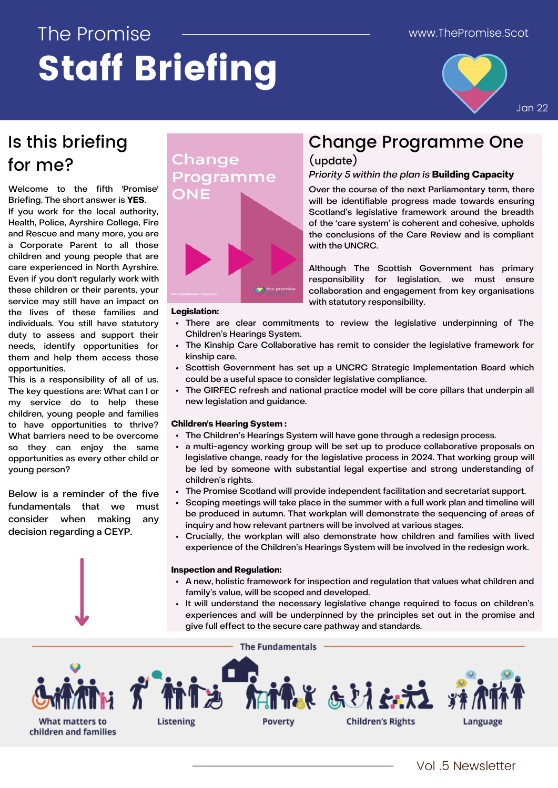# The Promise Staff Briefing



Jan 22

### Is this briefing for me?

Welcome to the fifth 'Promise' Briefing. The short answer is **YES**.

If you work for the local authority, Health, Police, Ayrshire College, Fire and Rescue and many more, you are a Corporate Parent to all those children and young people that are care experienced in North Ayrshire. Even if you don't regularly work with these children or their parents, your service may still have an impact on the lives of these families and individuals. You still have statutory duty to assess and support their needs, identify opportunities for them and help them access those opportunities.

This is a responsibility of all of us. The key questions are: What can I or my service do to help these children, young people and families to have opportunities to thrive? What barriers need to be overcome so they can enjoy the same opportunities as every other child or young person?

Below is a reminder of the five fundamentals that we must consider when making any decision regarding a CEYP.

### Change Programme ONE



## Change Programme One

(update)

#### Priority 5 within the plan is **Building Capacity**

Over the course of the next Parliamentary term, there will be identifiable progress made towards ensuring Scotland's legislative framework around the breadth of the 'care system' is coherent and cohesive, upholds the conclusions of the Care Review and is compliant with the UNCRC.

Although The Scottish Government has primary responsibility for legislation, we must ensure collaboration and engagement from key organisations with statutory responsibility.

#### **Legislation:**

- There are clear commitments to review the legislative underpinning of The Children's Hearings System.
- The Kinship Care Collaborative has remit to consider the legislative framework for  $\bullet$ kinship care.
- Scottish Government has set up a UNCRC Strategic Implementation Board which could be a useful space to consider legislative compliance.
- The GIRFEC refresh and national practice model will be core pillars that underpin all new legislation and guidance.

#### **Children's Hearing System :**

- The Children's Hearings System will have gone through a redesign process.
- a multi-agency working group will be set up to produce collaborative proposals on legislative change, ready for the legislative process in 2024. That working group will be led by someone with substantial legal expertise and strong understanding of children's rights.
- The Promise Scotland will provide independent facilitation and secretariat support.
- Scoping meetings will take place in the summer with a full work plan and timeline will be produced in autumn. That workplan will demonstrate the sequencing of areas of inquiry and how relevant partners will be involved at various stages.
- Crucially, the workplan will also demonstrate how children and families with lived experience of the Children's Hearings System will be involved in the redesign work.

#### **Inspection and Regulation:**

- A new, holistic framework for inspection and regulation that values what children and family's value, will be scoped and developed.
- It will understand the necessary legislative change required to focus on children's experiences and will be underpinned by the principles set out in the promise and give full effect to the secure care pathway and standards.

**The Fundamentals**  $13.5$ **Children's Rights What matters to Listening Poverty** Language children and families

Vol .5 Newsletter